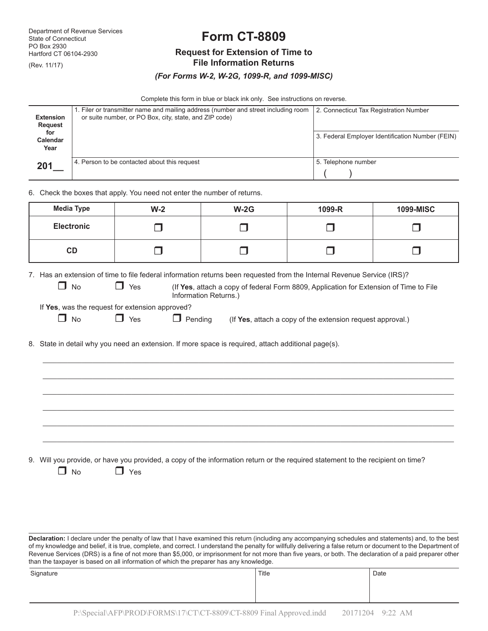(Rev. 11/17)

# **Form CT-8809**

## **Request for Extension of Time to**

## **File Information Returns**

#### *(For Forms W-2, W-2G, 1099-R, and 1099-MISC)*

Complete this form in blue or black ink only*.* See instructions on reverse.

| <b>Extension</b><br><b>Request</b><br>for<br>Calendar<br>Year | 1. Filer or transmitter name and mailing address (number and street including room<br>or suite number, or PO Box, city, state, and ZIP code) | 2. Connecticut Tax Registration Number<br>3. Federal Employer Identification Number (FEIN) |
|---------------------------------------------------------------|----------------------------------------------------------------------------------------------------------------------------------------------|--------------------------------------------------------------------------------------------|
| 201                                                           | 4. Person to be contacted about this request                                                                                                 | 5. Telephone number                                                                        |

6. Check the boxes that apply. You need not enter the number of returns.

| <b>Media Type</b> | $W-2$ | $W-2G$ | 1099-R | <b>1099-MISC</b> |
|-------------------|-------|--------|--------|------------------|
| <b>Electronic</b> |       |        |        |                  |
| CD                |       |        |        |                  |
|                   |       |        |        |                  |

 $\bot$  . The contribution of the contribution of the contribution of the contribution of the contribution of the contribution of the contribution of the contribution of the contribution of the contribution of the contributi \_\_\_\_\_\_\_\_\_\_\_\_\_\_\_\_\_\_\_\_\_\_\_\_\_\_\_\_\_\_\_\_\_\_\_\_\_\_\_\_\_\_\_\_\_\_\_\_\_\_\_\_\_\_\_\_\_\_\_\_\_\_\_\_\_\_\_\_\_\_\_\_\_\_\_\_\_\_\_\_\_\_\_\_\_\_\_\_\_\_\_\_\_\_\_\_\_\_\_\_\_\_\_\_\_\_\_\_\_\_\_\_\_\_\_\_ \_\_\_\_\_\_\_\_\_\_\_\_\_\_\_\_\_\_\_\_\_\_\_\_\_\_\_\_\_\_\_\_\_\_\_\_\_\_\_\_\_\_\_\_\_\_\_\_\_\_\_\_\_\_\_\_\_\_\_\_\_\_\_\_\_\_\_\_\_\_\_\_\_\_\_\_\_\_\_\_\_\_\_\_\_\_\_\_\_\_\_\_\_\_\_\_\_\_\_\_\_\_\_\_\_\_\_\_\_\_\_\_\_\_\_\_ \_\_\_\_\_\_\_\_\_\_\_\_\_\_\_\_\_\_\_\_\_\_\_\_\_\_\_\_\_\_\_\_\_\_\_\_\_\_\_\_\_\_\_\_\_\_\_\_\_\_\_\_\_\_\_\_\_\_\_\_\_\_\_\_\_\_\_\_\_\_\_\_\_\_\_\_\_\_\_\_\_\_\_\_\_\_\_\_\_\_\_\_\_\_\_\_\_\_\_\_\_\_\_\_\_\_\_\_\_\_\_\_\_\_\_\_ \_\_\_\_\_\_\_\_\_\_\_\_\_\_\_\_\_\_\_\_\_\_\_\_\_\_\_\_\_\_\_\_\_\_\_\_\_\_\_\_\_\_\_\_\_\_\_\_\_\_\_\_\_\_\_\_\_\_\_\_\_\_\_\_\_\_\_\_\_\_\_\_\_\_\_\_\_\_\_\_\_\_\_\_\_\_\_\_\_\_\_\_\_\_\_\_\_\_\_\_\_\_\_\_\_\_\_\_\_\_\_\_\_\_\_\_  $\bot$  . The contribution of the contribution of the contribution of the contribution of the contribution of the contribution of the contribution of the contribution of the contribution of the contribution of the contributi

7. Has an extension of time to file federal information returns been requested from the Internal Revenue Service (IRS)?

**T** No **r** Yes (If **Yes**, attach a copy of federal Form 8809, Application for Extension of Time to File Information Returns.)

If **Yes**, was the request for extension approved?

**T** No **r** Yes **r** Pending (If Yes, attach a copy of the extension request approval.)

8. State in detail why you need an extension. If more space is required, attach additional page(s).

9. Will you provide, or have you provided, a copy of the information return or the required statement to the recipient on time?  $\Box$  No  $\Box$  Yes

**Declaration:** I declare under the penalty of law that I have examined this return (including any accompanying schedules and statements) and, to the best of my knowledge and belief, it is true, complete, and correct. I understand the penalty for willfully delivering a false return or document to the Department of Revenue Services (DRS) is a fine of not more than \$5,000, or imprisonment for not more than five years, or both. The declaration of a paid preparer other than the taxpayer is based on all information of which the preparer has any knowledge.

| Signature | Title | Date |
|-----------|-------|------|
|           |       |      |
|           |       |      |